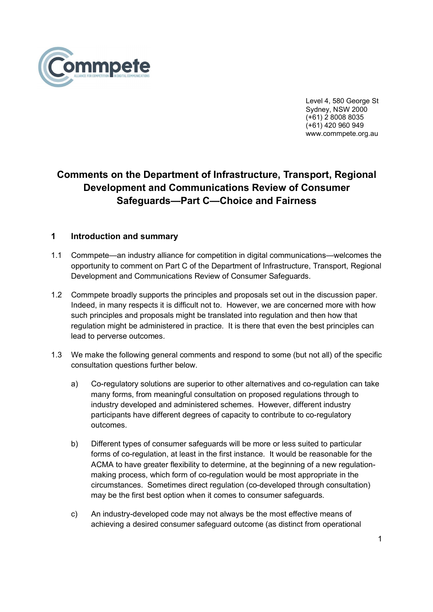

 Level 4, 580 George St Sydney, NSW 2000 (+61) 2 8008 8035 (+61) 420 960 949 www.commpete.org.au

# Comments on the Department of Infrastructure, Transport, Regional Development and Communications Review of Consumer Safeguards—Part C—Choice and Fairness

# 1 Introduction and summary

- 1.1 Commpete—an industry alliance for competition in digital communications—welcomes the opportunity to comment on Part C of the Department of Infrastructure, Transport, Regional Development and Communications Review of Consumer Safeguards.
- 1.2 Commpete broadly supports the principles and proposals set out in the discussion paper. Indeed, in many respects it is difficult not to. However, we are concerned more with how such principles and proposals might be translated into regulation and then how that regulation might be administered in practice. It is there that even the best principles can lead to perverse outcomes.
- 1.3 We make the following general comments and respond to some (but not all) of the specific consultation questions further below.
	- a) Co-regulatory solutions are superior to other alternatives and co-regulation can take many forms, from meaningful consultation on proposed regulations through to industry developed and administered schemes. However, different industry participants have different degrees of capacity to contribute to co-regulatory outcomes.
	- b) Different types of consumer safeguards will be more or less suited to particular forms of co-regulation, at least in the first instance. It would be reasonable for the ACMA to have greater flexibility to determine, at the beginning of a new regulationmaking process, which form of co-regulation would be most appropriate in the circumstances. Sometimes direct regulation (co-developed through consultation) may be the first best option when it comes to consumer safeguards.
	- c) An industry-developed code may not always be the most effective means of achieving a desired consumer safeguard outcome (as distinct from operational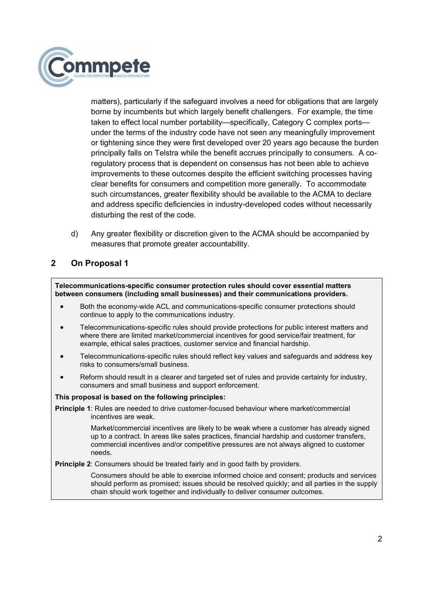

matters), particularly if the safeguard involves a need for obligations that are largely borne by incumbents but which largely benefit challengers. For example, the time taken to effect local number portability—specifically, Category C complex ports under the terms of the industry code have not seen any meaningfully improvement or tightening since they were first developed over 20 years ago because the burden principally falls on Telstra while the benefit accrues principally to consumers. A coregulatory process that is dependent on consensus has not been able to achieve improvements to these outcomes despite the efficient switching processes having clear benefits for consumers and competition more generally. To accommodate such circumstances, greater flexibility should be available to the ACMA to declare and address specific deficiencies in industry-developed codes without necessarily disturbing the rest of the code.

d) Any greater flexibility or discretion given to the ACMA should be accompanied by measures that promote greater accountability.

# 2 On Proposal 1

Telecommunications-specific consumer protection rules should cover essential matters between consumers (including small businesses) and their communications providers.

- Both the economy-wide ACL and communications-specific consumer protections should continue to apply to the communications industry.
- Telecommunications-specific rules should provide protections for public interest matters and where there are limited market/commercial incentives for good service/fair treatment, for example, ethical sales practices, customer service and financial hardship.
- Telecommunications-specific rules should reflect key values and safeguards and address key risks to consumers/small business.
- Reform should result in a clearer and targeted set of rules and provide certainty for industry, consumers and small business and support enforcement.

#### This proposal is based on the following principles:

Principle 1: Rules are needed to drive customer-focused behaviour where market/commercial incentives are weak.

> Market/commercial incentives are likely to be weak where a customer has already signed up to a contract. In areas like sales practices, financial hardship and customer transfers, commercial incentives and/or competitive pressures are not always aligned to customer needs.

**Principle 2:** Consumers should be treated fairly and in good faith by providers.

Consumers should be able to exercise informed choice and consent; products and services should perform as promised; issues should be resolved quickly; and all parties in the supply chain should work together and individually to deliver consumer outcomes.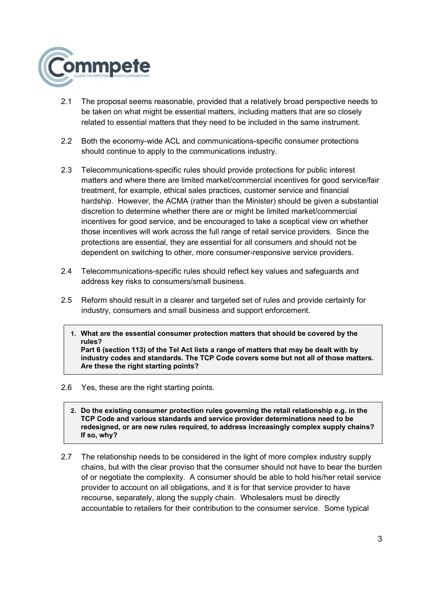

- 2.1 The proposal seems reasonable, provided that a relatively broad perspective needs to be taken on what might be essential matters, including matters that are so closely related to essential matters that they need to be included in the same instrument.
- 2.2 Both the economy-wide ACL and communications-specific consumer protections should continue to apply to the communications industry.
- 2.3 Telecommunications-specific rules should provide protections for public interest matters and where there are limited market/commercial incentives for good service/fair treatment, for example, ethical sales practices, customer service and financial hardship. However, the ACMA (rather than the Minister) should be given a substantial discretion to determine whether there are or might be limited market/commercial incentives for good service, and be encouraged to take a sceptical view on whether those incentives will work across the full range of retail service providers. Since the protections are essential, they are essential for all consumers and should not be dependent on switching to other, more consumer-responsive service providers.
- 2.4 Telecommunications-specific rules should reflect key values and safeguards and address key risks to consumers/small business.
- 2.5 Reform should result in a clearer and targeted set of rules and provide certainty for industry, consumers and small business and support enforcement.
	- 1. What are the essential consumer protection matters that should be covered by the rules? Part 6 (section 113) of the Tel Act lists a range of matters that may be dealt with by industry codes and standards. The TCP Code covers some but not all of those matters. Are these the right starting points?
- 2.6 Yes, these are the right starting points.
	- 2. Do the existing consumer protection rules governing the retail relationship e.g. in the TCP Code and various standards and service provider determinations need to be redesigned, or are new rules required, to address increasingly complex supply chains? If so, why?
- 2.7 The relationship needs to be considered in the light of more complex industry supply chains, but with the clear proviso that the consumer should not have to bear the burden of or negotiate the complexity. A consumer should be able to hold his/her retail service provider to account on all obligations, and it is for that service provider to have recourse, separately, along the supply chain. Wholesalers must be directly accountable to retailers for their contribution to the consumer service. Some typical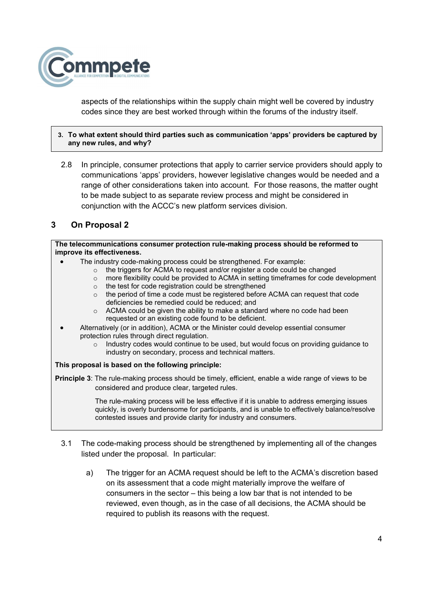

aspects of the relationships within the supply chain might well be covered by industry codes since they are best worked through within the forums of the industry itself.

## 3. To what extent should third parties such as communication 'apps' providers be captured by any new rules, and why?

2.8 In principle, consumer protections that apply to carrier service providers should apply to communications 'apps' providers, however legislative changes would be needed and a range of other considerations taken into account. For those reasons, the matter ought to be made subject to as separate review process and might be considered in conjunction with the ACCC's new platform services division.

# 3 On Proposal 2

The telecommunications consumer protection rule-making process should be reformed to improve its effectiveness.

- The industry code-making process could be strengthened. For example:
	- o the triggers for ACMA to request and/or register a code could be changed
	- o more flexibility could be provided to ACMA in setting timeframes for code development
	- o the test for code registration could be strengthened
	- $\circ$  the period of time a code must be registered before ACMA can request that code deficiencies be remedied could be reduced; and
	- $\circ$  ACMA could be given the ability to make a standard where no code had been requested or an existing code found to be deficient.
	- Alternatively (or in addition), ACMA or the Minister could develop essential consumer protection rules through direct regulation.
		- $\circ$  Industry codes would continue to be used, but would focus on providing guidance to industry on secondary, process and technical matters.

## This proposal is based on the following principle:

Principle 3: The rule-making process should be timely, efficient, enable a wide range of views to be considered and produce clear, targeted rules.

> The rule-making process will be less effective if it is unable to address emerging issues quickly, is overly burdensome for participants, and is unable to effectively balance/resolve contested issues and provide clarity for industry and consumers.

- 3.1 The code-making process should be strengthened by implementing all of the changes listed under the proposal. In particular:
	- a) The trigger for an ACMA request should be left to the ACMA's discretion based on its assessment that a code might materially improve the welfare of consumers in the sector – this being a low bar that is not intended to be reviewed, even though, as in the case of all decisions, the ACMA should be required to publish its reasons with the request.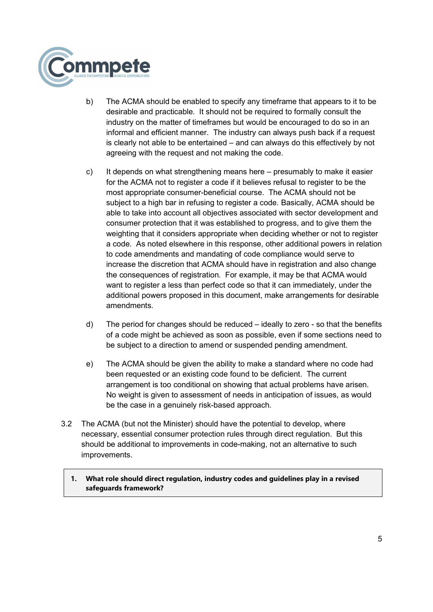

- b) The ACMA should be enabled to specify any timeframe that appears to it to be desirable and practicable. It should not be required to formally consult the industry on the matter of timeframes but would be encouraged to do so in an informal and efficient manner. The industry can always push back if a request is clearly not able to be entertained – and can always do this effectively by not agreeing with the request and not making the code.
- c) It depends on what strengthening means here presumably to make it easier for the ACMA not to register a code if it believes refusal to register to be the most appropriate consumer-beneficial course. The ACMA should not be subject to a high bar in refusing to register a code. Basically, ACMA should be able to take into account all objectives associated with sector development and consumer protection that it was established to progress, and to give them the weighting that it considers appropriate when deciding whether or not to register a code. As noted elsewhere in this response, other additional powers in relation to code amendments and mandating of code compliance would serve to increase the discretion that ACMA should have in registration and also change the consequences of registration. For example, it may be that ACMA would want to register a less than perfect code so that it can immediately, under the additional powers proposed in this document, make arrangements for desirable amendments.
- d) The period for changes should be reduced ideally to zero so that the benefits of a code might be achieved as soon as possible, even if some sections need to be subject to a direction to amend or suspended pending amendment.
- e) The ACMA should be given the ability to make a standard where no code had been requested or an existing code found to be deficient. The current arrangement is too conditional on showing that actual problems have arisen. No weight is given to assessment of needs in anticipation of issues, as would be the case in a genuinely risk-based approach.
- 3.2 The ACMA (but not the Minister) should have the potential to develop, where necessary, essential consumer protection rules through direct regulation. But this should be additional to improvements in code-making, not an alternative to such improvements.

## 1. What role should direct regulation, industry codes and guidelines play in a revised safeguards framework?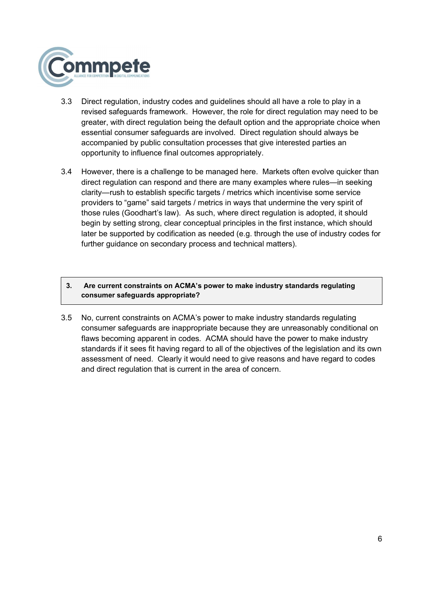

- 3.3 Direct regulation, industry codes and guidelines should all have a role to play in a revised safeguards framework. However, the role for direct regulation may need to be greater, with direct regulation being the default option and the appropriate choice when essential consumer safeguards are involved. Direct regulation should always be accompanied by public consultation processes that give interested parties an opportunity to influence final outcomes appropriately.
- 3.4 However, there is a challenge to be managed here. Markets often evolve quicker than direct regulation can respond and there are many examples where rules—in seeking clarity—rush to establish specific targets / metrics which incentivise some service providers to "game" said targets / metrics in ways that undermine the very spirit of those rules (Goodhart's law). As such, where direct regulation is adopted, it should begin by setting strong, clear conceptual principles in the first instance, which should later be supported by codification as needed (e.g. through the use of industry codes for further guidance on secondary process and technical matters).

## 3. Are current constraints on ACMA's power to make industry standards regulating consumer safeguards appropriate?

3.5 No, current constraints on ACMA's power to make industry standards regulating consumer safeguards are inappropriate because they are unreasonably conditional on flaws becoming apparent in codes. ACMA should have the power to make industry standards if it sees fit having regard to all of the objectives of the legislation and its own assessment of need. Clearly it would need to give reasons and have regard to codes and direct regulation that is current in the area of concern.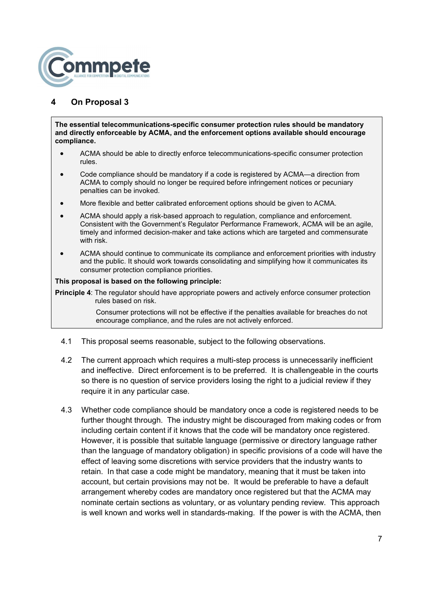

# 4 On Proposal 3

The essential telecommunications-specific consumer protection rules should be mandatory and directly enforceable by ACMA, and the enforcement options available should encourage compliance.

- ACMA should be able to directly enforce telecommunications-specific consumer protection rules.
- Code compliance should be mandatory if a code is registered by ACMA—a direction from ACMA to comply should no longer be required before infringement notices or pecuniary penalties can be invoked.
- More flexible and better calibrated enforcement options should be given to ACMA.
- ACMA should apply a risk-based approach to regulation, compliance and enforcement. Consistent with the Government's Regulator Performance Framework, ACMA will be an agile, timely and informed decision-maker and take actions which are targeted and commensurate with risk.
- ACMA should continue to communicate its compliance and enforcement priorities with industry and the public. It should work towards consolidating and simplifying how it communicates its consumer protection compliance priorities.

#### This proposal is based on the following principle:

**Principle 4:** The regulator should have appropriate powers and actively enforce consumer protection rules based on risk.

> Consumer protections will not be effective if the penalties available for breaches do not encourage compliance, and the rules are not actively enforced.

- 4.1 This proposal seems reasonable, subject to the following observations.
- 4.2 The current approach which requires a multi-step process is unnecessarily inefficient and ineffective. Direct enforcement is to be preferred. It is challengeable in the courts so there is no question of service providers losing the right to a judicial review if they require it in any particular case.
- 4.3 Whether code compliance should be mandatory once a code is registered needs to be further thought through. The industry might be discouraged from making codes or from including certain content if it knows that the code will be mandatory once registered. However, it is possible that suitable language (permissive or directory language rather than the language of mandatory obligation) in specific provisions of a code will have the effect of leaving some discretions with service providers that the industry wants to retain. In that case a code might be mandatory, meaning that it must be taken into account, but certain provisions may not be. It would be preferable to have a default arrangement whereby codes are mandatory once registered but that the ACMA may nominate certain sections as voluntary, or as voluntary pending review. This approach is well known and works well in standards-making. If the power is with the ACMA, then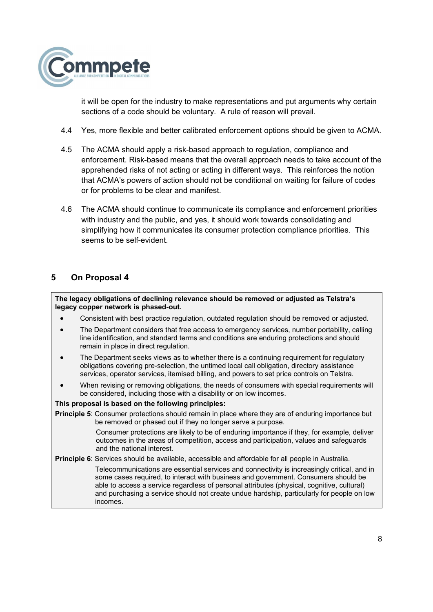

it will be open for the industry to make representations and put arguments why certain sections of a code should be voluntary. A rule of reason will prevail.

- 4.4 Yes, more flexible and better calibrated enforcement options should be given to ACMA.
- 4.5 The ACMA should apply a risk-based approach to regulation, compliance and enforcement. Risk-based means that the overall approach needs to take account of the apprehended risks of not acting or acting in different ways. This reinforces the notion that ACMA's powers of action should not be conditional on waiting for failure of codes or for problems to be clear and manifest.
- 4.6 The ACMA should continue to communicate its compliance and enforcement priorities with industry and the public, and yes, it should work towards consolidating and simplifying how it communicates its consumer protection compliance priorities. This seems to be self-evident.

## 5 On Proposal 4

The legacy obligations of declining relevance should be removed or adjusted as Telstra's legacy copper network is phased-out.

- Consistent with best practice regulation, outdated regulation should be removed or adjusted.
- The Department considers that free access to emergency services, number portability, calling line identification, and standard terms and conditions are enduring protections and should remain in place in direct regulation.
- The Department seeks views as to whether there is a continuing requirement for regulatory obligations covering pre-selection, the untimed local call obligation, directory assistance services, operator services, itemised billing, and powers to set price controls on Telstra.
- When revising or removing obligations, the needs of consumers with special requirements will be considered, including those with a disability or on low incomes.

## This proposal is based on the following principles:

Principle 5: Consumer protections should remain in place where they are of enduring importance but be removed or phased out if they no longer serve a purpose.

> Consumer protections are likely to be of enduring importance if they, for example, deliver outcomes in the areas of competition, access and participation, values and safeguards and the national interest.

Principle 6: Services should be available, accessible and affordable for all people in Australia. Telecommunications are essential services and connectivity is increasingly critical, and in some cases required, to interact with business and government. Consumers should be able to access a service regardless of personal attributes (physical, cognitive, cultural) and purchasing a service should not create undue hardship, particularly for people on low incomes.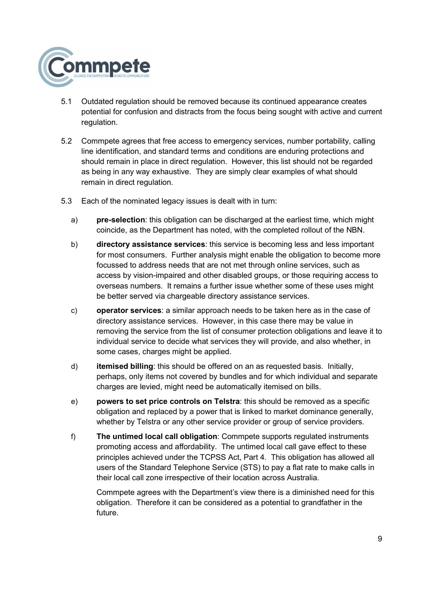

- 5.1 Outdated regulation should be removed because its continued appearance creates potential for confusion and distracts from the focus being sought with active and current regulation.
- 5.2 Commpete agrees that free access to emergency services, number portability, calling line identification, and standard terms and conditions are enduring protections and should remain in place in direct regulation. However, this list should not be regarded as being in any way exhaustive. They are simply clear examples of what should remain in direct regulation.
- 5.3 Each of the nominated legacy issues is dealt with in turn:
	- a) **pre-selection**: this obligation can be discharged at the earliest time, which might coincide, as the Department has noted, with the completed rollout of the NBN.
	- b) directory assistance services: this service is becoming less and less important for most consumers. Further analysis might enable the obligation to become more focussed to address needs that are not met through online services, such as access by vision-impaired and other disabled groups, or those requiring access to overseas numbers. It remains a further issue whether some of these uses might be better served via chargeable directory assistance services.
	- c) operator services: a similar approach needs to be taken here as in the case of directory assistance services. However, in this case there may be value in removing the service from the list of consumer protection obligations and leave it to individual service to decide what services they will provide, and also whether, in some cases, charges might be applied.
	- d) itemised billing: this should be offered on an as requested basis. Initially, perhaps, only items not covered by bundles and for which individual and separate charges are levied, might need be automatically itemised on bills.
	- e) powers to set price controls on Telstra: this should be removed as a specific obligation and replaced by a power that is linked to market dominance generally, whether by Telstra or any other service provider or group of service providers.
	- f) The untimed local call obligation: Commpete supports regulated instruments promoting access and affordability. The untimed local call gave effect to these principles achieved under the TCPSS Act, Part 4. This obligation has allowed all users of the Standard Telephone Service (STS) to pay a flat rate to make calls in their local call zone irrespective of their location across Australia.

Commpete agrees with the Department's view there is a diminished need for this obligation. Therefore it can be considered as a potential to grandfather in the future.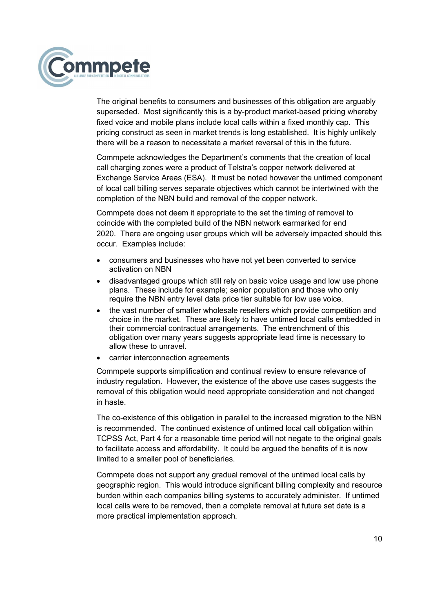

The original benefits to consumers and businesses of this obligation are arguably superseded. Most significantly this is a by-product market-based pricing whereby fixed voice and mobile plans include local calls within a fixed monthly cap. This pricing construct as seen in market trends is long established. It is highly unlikely there will be a reason to necessitate a market reversal of this in the future.

Commpete acknowledges the Department's comments that the creation of local call charging zones were a product of Telstra's copper network delivered at Exchange Service Areas (ESA). It must be noted however the untimed component of local call billing serves separate objectives which cannot be intertwined with the completion of the NBN build and removal of the copper network.

Commpete does not deem it appropriate to the set the timing of removal to coincide with the completed build of the NBN network earmarked for end 2020. There are ongoing user groups which will be adversely impacted should this occur. Examples include:

- consumers and businesses who have not yet been converted to service activation on NBN
- disadvantaged groups which still rely on basic voice usage and low use phone plans. These include for example; senior population and those who only require the NBN entry level data price tier suitable for low use voice.
- the vast number of smaller wholesale resellers which provide competition and choice in the market. These are likely to have untimed local calls embedded in their commercial contractual arrangements. The entrenchment of this obligation over many years suggests appropriate lead time is necessary to allow these to unravel.
- carrier interconnection agreements

Commpete supports simplification and continual review to ensure relevance of industry regulation. However, the existence of the above use cases suggests the removal of this obligation would need appropriate consideration and not changed in haste.

The co-existence of this obligation in parallel to the increased migration to the NBN is recommended. The continued existence of untimed local call obligation within TCPSS Act, Part 4 for a reasonable time period will not negate to the original goals to facilitate access and affordability. It could be argued the benefits of it is now limited to a smaller pool of beneficiaries.

Commpete does not support any gradual removal of the untimed local calls by geographic region. This would introduce significant billing complexity and resource burden within each companies billing systems to accurately administer. If untimed local calls were to be removed, then a complete removal at future set date is a more practical implementation approach.